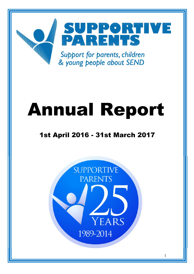

# **Annual Report**

# **1st April 2016 - 31st March 2017**

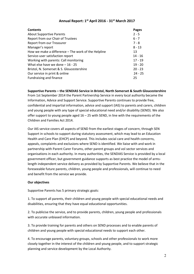| Annual Report: 1st April 2016 - 31st March 2017 |  |
|-------------------------------------------------|--|
|-------------------------------------------------|--|

| <b>Contents</b>                                       | Pages     |
|-------------------------------------------------------|-----------|
| <b>About Supportive Parents</b>                       | $2 - 5$   |
| Report from our Chair of Trustees                     | $6 - 7$   |
| <b>Report from our Treasurer</b>                      | $7 - 8$   |
| Manager's report                                      | $8 - 13$  |
| How we make a difference $-$ The work of the Helpline | 13        |
| Service-user satisfaction report                      | $14 - 16$ |
| Working with parents: Call monitoring                 | $17 - 19$ |
| What else have we done $-16 - 25$                     | $19 - 20$ |
| Bristol, N. Somerset & S. Gloucestershire             | $20 - 23$ |
| Our service in print & online                         | $24 - 25$ |
| Fundraising and finance                               | 25        |

**Supportive Parents – the SENDIAS Service in Bristol, North Somerset & South Gloucestershire** From 1st September 2014 the Parent Partnership Service in every local authority became the Information, Advice and Support Service. Supportive Parents continues to provide free, confidential and impartial information, advice and support (IAS) to parents and carers, children and young people with any type of special educational need and/or disability (SEND). We also offer support to young people aged  $16 - 25$  with SEND, in line with the requirements of the Children and Families Act 2014.

Our IAS service covers all aspects of SEND from the earliest stages of concern, through SEN Support in schools to support during statutory assessment, which may lead to an Education Health and Care Plan (EHCP) and beyond. This includes social care and health concerns, appeals, complaints and exclusions where SEND is identified. We liaise with and work in partnership with Parent Carer Forums, other parent groups and vol sector services and organisations in each authority. In many authorities, the SENDIAS Service is provided by a local government officer, but government guidance supports as best practice the model of armslength independent service delivery as provided by Supportive Parents. We believe that in the foreseeable future parents, children, young people and professionals, will continue to need and benefit from the service we provide.

# **Our objectives**

Supportive Parents has 5 primary strategic goals:

1. To support all parents, their children and young people with special educational needs and disabilities, ensuring that they have equal educational opportunities.

2. To publicise the service, and to provide parents, children, young people and professionals with accurate unbiased information.

3. To provide training for parents and others on SEND processes and to enable parents of children and young people with special educational needs to support each other.

4. To encourage parents, voluntary groups, schools and other professionals to work more closely together in the interest of the children and young people, and to support strategic planning and service development by the Local Authority.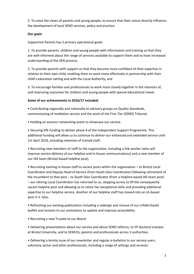5. To voice the views of parents and young people, to ensure that their voices directly influence the development of local SEND services, policy and practice.

# **Our goals**

Supportive Parents has 3 primary operational goals:

1. To provide parents, children and young people with information and training so that they are well-informed about the range of services available to support them and to have increased understanding of the SEN process;

2. To provide parents with support so that they become more confident of their expertise in relation to their own child, enabling them to work more effectively in partnership with their child's education setting and with the Local Authority; and

3. To encourage families and professionals to work more closely together in the interests of, and improving outcomes for children and young people with special educational needs.

# **Some of our achievements in 2016/17 included:**

• Contributing regionally and nationally to advisory groups on Quality Standards, commissioning of mediation service and the work of the First Tier (SEND) Tribunal.

• Holding an autumn networking event to showcase our service.

• Securing DfE funding to deliver phase 4 of the Independent Support Programme. This additional funding will allow us to continue to deliver our enhanced and extended service until 1st April 2018, including retention of trained staff.

• Recruiting new members of staff to the organisation, including a link worker (who will improve service delivery of our helpline and in-house communications) and a new member of our IAS team (Bristol-based helpline post).

• Recruiting existing in-house staff to vacant posts within the organisation – to Bristol Local Coordinator and Deputy Head of Service (from South Glos Coordinator) following retirement of the incumbent to that post – to South Glos Coordinator (from a helpline-based IAS team post) – our retiring Local Coordinator has returned to us, stepping across to fill the consequently vacant helpline post and allowing us to retain her exceptional skills and providing additional expertise to our helpline service. Another of our helpline staff has moved into an LA-based post in S. Glos.

• Refreshing our existing publications including a redesign and reissue of our trifold (hook) leaflet and revision to our animations to update and improve accessibility.

• Recruiting a new Trustee to our Board.

• Delivering presentations about our service and about SEND reforms, to EP doctoral trainees at Bristol University, and to SENCOs, parents and professionals across 3 authorities.

• Delivering a termly issue of our newsletter and regular e-bulletins to our service users, voluntary sector and other professionals, including a range of settings and services.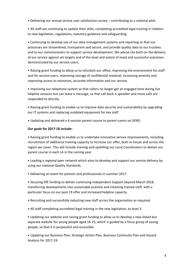• Delivering our annual service user satisfaction survey – contributing to a national pilot.

• All staff are continuing to update their skills, completing accredited legal training in relation to new legislation, regulations, statutory guidance and safeguarding.

• Continuing to develop use of our data management systems and reporting so that our processes are streamlined, transparent and secure, and provide quality data to our trustees and to our commissioners to support service development. We advise LAs both on the delivery of our service against set targets and of the level and extent of need and successful outcomes demonstrated by our service-users.

• Raising grant funding to allow us to refurbish our office, improving the environment for staff and for service-users, improving storage of confidential material, increasing amenity and improving access to resources, accurate information and our service.

• Improving our telephone system so that callers no longer get an engaged tone during live helpline sessions but can leave a message, so that call-back is speedier and more calls are responded to directly.

• Raising grant funding to enable us to improve data security and sustainability by upgrading our IT systems and replacing outdated equipment for key staff.

• Updating and delivered a 4-session parent course to parent-carers on SEND.

#### **Our goals for 2017-18 include:**

• Raising grant funding to enable us to undertake innovative service improvements, including recruitment of additional training capacity to increase our offer, both in-house and across the region we cover. This will include training and upskilling our Local Coordinators to deliver our parent course in each LA in the coming year.

• Leading a regional peer network which aims to develop and support our service delivery by using our national Quality Standards.

• Delivering an event for parents and professionals in summer 2017.

• Securing DfE funding to deliver continuing Independent Support beyond March 2018, transferring developments into sustainable practice and retaining trained staff, with a particular focus on our post 19 offer and increased helpline capacity.

• Recruiting and successfully inducting new staff across the organisation as required.

• All staff completing accredited legal training in the new legislation, to level 3.

• Updating our website and raising grant funding to allow us to develop a new linked but separate website for young people aged 16-25, which is guided by a focus group of young people, so that it is purposeful and accessible.

• Updating our Business Plan, Strategic Action Plan, Business Continuity Plan and Hazard Analysis for 2017-19.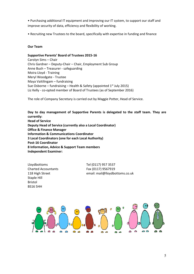• Purchasing additional IT equipment and improving our IT system, to support our staff and improve security of data, efficiency and flexibility of working.

• Recruiting new Trustees to the board, specifically with expertise in funding and finance

#### **Our Team**

**Supportive Parents' Board of Trustees 2015-16** Carolyn Sims – Chair Chris Gardner – Deputy-Chair – Chair, Employment Sub Group Anne Bush – Treasurer - safeguarding Moira Lloyd - Training Meryl Woodgate - Trustee Maya Vaitilingam – fundraising Sue Osborne – fundraising – Health & Safety (appointed  $1<sup>st</sup>$  July 2015) Liz Kelly - co-opted member of Board of Trustees (as of September 2016)

The role of Company Secretary is carried out by Maggie Potter, Head of Service.

**Day to day management of Supportive Parents is delegated to the staff team. They are currently: Head of Service Deputy Head of Service (currently also a Local Coordinator) Office & Finance Manager Information & Communications Coordinator 3 Local Coordinators (one for each Local Authority) Post-16 Coordinator 8 Information, Advice & Support Team members Independent Examiner:**

Lloydbottoms Tel (0117) 957 3537 Charted Accountants Fax (0117) 9567919 Staple Hill Bristol BS16 5HH

118 High Street email: mail@lloydbottoms.co.uk

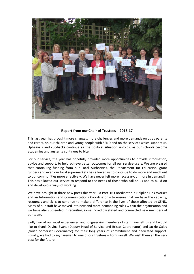

# **Report from our Chair of Trustees – 2016-17**

This last year has brought more changes, more challenges and more demands on us as parents and carers, on our children and young people with SEND and on the services which support us. Upheavals and cut-backs continue as the political situation unfolds, as our schools become academies and austerity continues to bite.

For our service, the year has hopefully provided more opportunities to provide information, advice and support, to help achieve better outcomes for all our service-users. We are pleased that continuing funding from our Local Authorities, the Department for Education, grant funders and even our local supermarkets has allowed us to continue to do more and reach out to our communities more effectively. We have never felt more necessary, or more in demand! This has allowed our service to respond to the needs of those who call on us and to build on and develop our ways of working.

We have brought in three new posts this year – a Post-16 Coordinator, a Helpline Link Worker and an Information and Communications Coordinator – to ensure that we have the capacity, resources and skills to continue to make a difference in the lives of those affected by SEND. Many of our staff have moved into new and more demanding roles within the organisation and we have also succeeded in recruiting some incredibly skilled and committed new members of our team.

Sadly two of our most experienced and long-serving members of staff have left us and I would like to thank Davina Evans (Deputy Head of Service and Bristol Coordinator) and Jackie Oxley (North Somerset Coordinator) for their long years of commitment and dedicated support. Equally, we had to say farewell to one of our trustees – Lorri Farrell. We wish them all the very best for the future.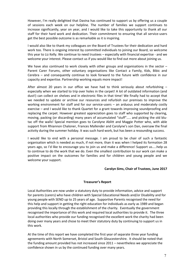However, I'm really delighted that Davina has continued to support us by offering us a couple of sessions each week on our helpline. The number of families we support continues to increase significantly, year on year, and I would like to take this opportunity to thank all our staff for their hard work and dedication. Their commitment to ensuring that all service-users get the best possible outcome is as remarkable as it is inspiring.

I would also like to thank my colleagues on the Board of Trustees for their dedication and hard work too. There is ongoing interest by committed individuals to joining our Board, so welcome this year to Liz Kelly. We continue to need trustees – especially with financial expertise - and we welcome your interest. Please contact us if you would like to find out more about joining us.

We have also continued to work closely with other groups and organisations in the sector  $-$ Parent Carer Forums, other voluntary organisations like Contact a Family, Kids, Bibic and Cerebra – and consequently continue to look forward to the future with confidence in our capacity and expertise. Partnership working equals more impact!

After almost 20 years in our office we have had to think seriously about refurbishing especially when we started to trip over holes in the carpet! A lot of outdated information (and dust!) can collect on shelves and in electronic files in that time! We finally had to accept that we needed to update or archive our resources and refurbish our premises to improve the working environment for staff and for our service-users – an arduous and moderately costly exercise – and I would like to thank Quartet for a grant towards improving soundproofing and replacing the carpet. However greatest appreciation goes to staff who supported by clearing, moving, packing (or discarding) many years of accumulated "stuff"….. and picking the old blu tac off the walls! Special mention goes to Carolyne Ablitt and Maggie Potter who, with able support from Rhiannon Chaloner, Frances Mallender and Carolyne's son Dan, oversaw the final activity during the summer holiday. It was such hard work, but has been a resounding success.

I would like to end with a personal message. I am proud to be chair of such a fantastic organisation which is needed as much, if not more, than it was when I helped its formation 28 years ago, so I'd like to encourage you to join us and make a difference! Support us…..help us to continue to do the work that we do. Even the smallest contribution to our work can make a positive impact on the outcomes for families and for children and young people and we welcome your support.

#### **Carolyn Sims, Chair of Trustees, June 2017**

#### **Treasurer's Report**

Local Authorities are now under a statutory duty to provide information, advice and support for parents (carers) who have children with Special Educational Needs and/or Disability and for young people with SEND up to 25 years of age. Supportive Parents recognised the need for this help and support in getting the right education for individuals as early as 1989 and began providing this locally through the establishment of the charity. Eventually the government recognised the importance of this work and required local authorities to provide it. The three local authorities who provide our funding recognised the excellent work the charity had been doing over many years and chose to meet their statutory duty by continuing to support us in this work.

At the time of this report we have completed the first year of separate three year funding agreements with North Somerset, Bristol and South Gloucestershire. It should be noted that the funding amount provided has not increased since 2011 – nevertheless we appreciate the confidence shown in us by the continued funding over many years.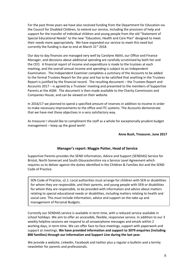For the past three years we have also received funding from the Department for Education via the Council for Disabled Children, to extend our service, including the provision of help and support for the transfer of individual children and young people from the old "Statement of Special Educational Needs" to the new "Education, Health and Care Plan" designed to meet their needs more appropriately. We have expanded our service to meet this need but currently the funding is due to end at March  $31<sup>st</sup>$  2018.

Our day-to day finances are managed very well by Carolyne Ablitt, our Office and Finance Manager, and decisions about additional spending are carefully scrutinised by both her and the CEO. A financial report of income and expenditure is made to the trustees at each meeting, and the overall annual income and spending is subject to an Independent Examination. The Independent Examiner completes a summary of the Accounts to be added to the formal Trustees Report for the year and has to be satisfied that anything in the Trustees Report is justified by the financial record. The resulting document – the Trustees Report and Accounts 2017 – is agreed by a Trustees' meeting and presented to the members of Supportive Parents at the AGM. The document is then made available to the Charity Commission and Companies House, and can be viewed on their website.

In 2016/17 we planned to spend a specified amount of reserves in addition to income in order to make necessary improvements to the office and ITC systems. The Accounts demonstrate that we have met these objectives in a very satisfactory way.

As treasurer I should like to compliment the staff as a whole for exceptionally prudent budget management – keep up the good work!

#### **Anne Bush, Treasurer, June 2017**

# **Manager's report: Maggie Potter, Head of Service**

Supportive Parents provides the SEND Information, Advice and Support (SENDIAS) Service for Bristol, North Somerset and South Gloucestershire via a Service Level Agreement which requires us to deliver against the duties identified in the Children & Families Act and the SEND Code of Practice.

SEN Code of Practice, s2.1: Local authorities must arrange for children with SEN or disabilities for whom they are responsible, and their parents, and young people with SEN or disabilities for whom they are responsible, to be provided with information and advice about matters relating to special educational needs or disabilities, including matters relating to health and social care. This must include information, advice and support on the take-up and management of Personal Budgets.

Currently our SENDIAS service is available in term time, with a reduced service available in school holidays. We aim to offer an accessible, flexible, responsive service. In addition to our 3 weekly helpline sessions we respond to all answerphone messages and emails within 2 working days, in term time. We can offer face-to-face meetings, support with paperwork and support at meetings. **We have provided information and support to 3079 enquiries (including 800 families) through our Information and Support Line during the last year.**

We provide a website, LinkedIn, Facebook and twitter plus a regular e-bulletin and a termly newsletter for parents and professionals.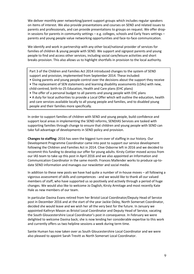We deliver monthly peer networking/parent support groups which includes regular speakers on items of interest. We also provide presentations and courses on SEND and related issues to parents and professionals, and can provide presentations to groups on request. We offer dropin sessions for parents in community settings – e.g. colleges, schools and Early Years settings – parents and young people value networking opportunities and face-to-face communication.

We identify and work in partnership with any other local/national provider of services for families of children & young people with SEND. We support and signpost parents and young people to find and access other services, including social care/leisure activities and short breaks provision. This also allows us to highlight shortfalls in provision to the local authority.

Part 3 of the Children and Families Act 2014 introduced changes to the system of SEND support and provision, implemented from September 2014. These included:

- Giving parents and young people control over the decisions about the support they receive
- The replacement of SEN statements and learning disability assessments (LDAs) with new, child-centred, birth-to-25 Education, Health and Care plans (EHC plans)
- The offer of a personal budget to all parents and young people with EHC plans

• A duty for local authorities to provide a Local Offer which will outline the education, health and care services available locally to all young people and families, and to disabled young people and their families more specifically.

In order to support families of children with SEND and young people, build confidence and support local areas in implementing the SEND reforms, SENDIAS Services are tasked with supporting families through change to ensure that children and young people with SEND can take full advantage of developments in SEND policy and provision.

**Changes to staffing:** 2016 has seen the biggest turn-over of staffing in our history. Our Development Programme Coordinator came into post to support our service development following the Children and Families Act in 2014. Clive Osborne left in 2016 and we decided to recommit this funding to develop our offer for young adults. Kirsty Cottier moved across from our IAS team to take up this post in April 2016 and we also appointed an Information and Communication Coordinator in the same month. Frances Mallender works to produce up-to date SEND information and manages our newsletter and social media.

In addition to these new posts we have had quite a number of in-house moves – all following a vigorous assessment of skills and competences - and we would like to thank all our valued members of staff, who have supported us so positively and actively through a period of huge changes. We would also like to welcome Jo Daglish, Kirsty Armitage and most recently Kate Hale as new members of our team.

In particular Davina Evans retired from her Bristol Local Coordinator/Deputy Head of Service post in December 2016 and at the start of the year Jackie Oxley, North Somerset Coordinator, decided she would leave and we wish her all the very best for the future. In January we appointed Kathryn Mason as Bristol Local Coordinator and Deputy Head of Service, vacating the South Gloucestershire Local Coordinator's post in consequence. In February we were delighted to welcome Davina back; she is now lending her considerable expertise to this work and currently offers us two helpline sessions a week during term time.

Santie Human has now taken over as South Gloucestershire Local Coordinator and we were also pleased to appoint Sarah Trevitt as North Somerset Local Coordinator.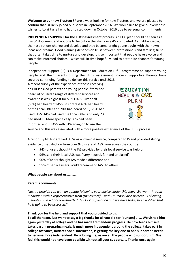**Welcome to our new Trustee:** SP are always looking for new Trustees and we are pleased to confirm that Liz Kelly joined our Board in September 2016. We would like to give our very best wishes to Lorri Farrell who had to step down in October 2016 due to personal commitments.

**INDEPENDENT SUPPORT for the EHCP assessment process**: An EHC plan should be seen as a 'living' document and not one to be put on the shelf once it's completed. As children grow, their aspirations change and develop and they become bright young adults with their own ideas and dreams. Good planning depends on trust between professionals and families; trust that often takes time to nurture and develop. It is so important that people have a voice and can make informed choices – which will in time hopefully lead to better life chances for young people.

Independent Support (IS) is a Department for Education (DfE) programme to support young people and their parents during the EHCP assessment process. Supportive Parents have secured continuing funding to deliver this service until 2018.

A recent survey of the experience of those receiving an EHCP asked parents and young people if they had heard of or used a range of different services and awareness was highest for SEND IASS. Over half (55%) had heard of IASS (in contrast 43% had heard of the Local Offer and 20% had heard of IS). 26% had used IASS, 14% had used the Local Offer and only 7% had used IS. More specifically 66% had been informed about IASS with 81% going on to use the



service and this was associated with a more positive experience of the EHCP process.

A report by NDTi identified IASSs as a low-cost service, compared to IS and provided strong evidence of satisfaction from over 940 users of IASS from across the country:

- 94% of users thought the IAS provided by their local service was helpful
- 96% said their local IASS was "very neutral, fair and unbiased"
- 90% of users thought IAS made a difference and
- 95% of service users would recommend IASS to others

# **What people say about us…………**

#### **Parent's comments:**

*"just to provide you with an update following your advice earlier this year. We went through mediation with a representative from [the council] – with E's school also present. Following mediation the school re-submitted E's EHCP application and we have today been notified that he is going to be assessed."*

**Thank you for the help and support that you provided to us.**

**To all the team, just want to say a big thanks for all you did for [our son] ……. We visited him again yesterday at college and he has made tremendous progress. He now feeds himself, takes part in preparing meals, is much more independent around the college, takes part in college activities, initiates social interaction, is getting the key one to one support he needs to become more independent. He is loving life, as are all the people who support him. We feel this would not have been possible without all your support…… Thanks once again**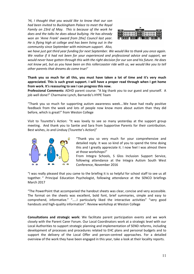*'Hi, I thought that you would like to know that our son had been invited to Buckingham Palace to meet the Royal Family on 23rd of May. This is because of the work he does and the talks he does about bullying. He has already won an 'Anne Frank' award from [the] Council last year. He is flying high at college and has been living out in the community since September with minimum support. Also,*



*we have just got third year funding for next September. We would like to thank you once again. We realise if it had not been for your experienced and professional advice and support, we would never have gotten through this with the right decision for our son and his future. He does not know yet, but as you have been on this rollercoaster ride with us, we would like you to tell other parents that dreams do come true!'*

**Thank you so much for all this, you must have taken a lot of time and it's very much appreciated. This is such great support. I will have a proper read through when I get home from work. It's reassuring to see I can progress this now.**

**Professional Comments:** ADHD parent course: "A big thank you to our guest and yourself. A job well done!" Charmaine Lynch, Barnardo's HYPE Team

"Thank you so much for supporting autism awareness week….We have had really positive feedback from the week and lots of people now know more about autism than they did before, which is great!" from Weston College

Visit to Tourette's Action: "It was lovely to see so many yesterday at the support group meeting. And thank you to Santie and Sara from Supportive Parents for their contribution. Best wishes, Jo and Lindsay (Tourette's Action)"



"Thank you so very much for your comprehensive and detailed reply. It was so kind of you to spend the time doing this and I greatly appreciate it. I now feel I was almost there at those workshops!"

From Integra Schools, S Glos Inclusion Support Service, following attendance at the Integra Autism South West Conference, November 2016

"I was really pleased that you came to the briefing it is so helpful for school staff to see us all together. " Principal Education Psychologist, following attendance at the SENCO briefings March 2017

"The PowerPoint that accompanied the handout sheets was clear, concise and very accessible. The format on the sheets was excellent, bold font, brief summaries, simple and easy to comprehend, informative." "…..I particularly liked the interactive activities" "very good handouts and high-quality information": Review workshop at Weston College

**Consultations and strategic work:** We facilitate parent participation events and we work closely with the Parent Carer Forum. Our Local Coordinators work at a strategic level with our Local Authorities to support strategic planning and implementation of SEND reforms, including development of processes and procedures related to EHC plans and personal budgets and to support the delivery of the Local Offer and person-centred approaches. For a detailed overview of the work they have been engaged in this year, take a look at their locality reports.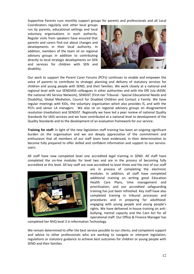Supportive Parents runs monthly support groups for parents and professionals and all Local

Coordinators regularly visit other local groups run by parents, educational settings and local voluntary organisations in each authority. Regular visits from speakers have ensured that parents and carers find out about changes and developments in their local authority. In addition, members of the team sit on regional advisory groups in addition to contributing directly to local strategic developments on SEN and services for children with SEN and disability.



Our work to support the Parent Carer Forums (PCFs) continues to enable and empower the voice of parents to contribute to strategic planning and delivery of statutory services for children and young people with SEND, and their families. We work closely at a national and regional level with our SENDIASS colleagues in other authorities and with the DfE (via IASSN; the national IAS Service Network), SENDiST (First-tier Tribunal - Special Educational Needs and Disability), Global Mediation, Council for Disabled Children and Contact a Family. We have regular meetings with KIDs, the voluntary organisation which also provides IS, and with the PCFs and senior LA managers. We also sit on regional advisory groups on disagreement resolution (mediation) and SENDiST. Regionally we have led a peer review of national Quality Standards for IASS services and we have contributed at a national level to development of the Quality Standards and to the development of an evaluation framework for our service.

**Training for staff:** In light of the new legislation staff training has been an ongoing significant burden on the organisation and we are deeply appreciative of the commitment and enthusiasm that all members of our staff team have evidenced, in their determination to become fully prepared to offer skilled and confident information and support to our service users.

All staff have now completed level one accredited legal training in SEND. All staff have completed the on-line modules for level two and are in the process of becoming fully accredited at this level. All key staff are now accredited to level three and the rest of our staff



are in process of completing the electronic modules. In addition, all staff have completed additional training on writing good Education Health Care Plans, time management and prioritisation, and our accredited safeguarding training has just been refreshed. Key staff have also completed training in tribunal processes and procedures and in preparing for adulthood: engaging with young people and young people's rights. We have delivered in-house training on anti bullying, mental capacity and the Care Act for all operational staff. Our Office & Finance Manager has

completed her NVQ level 3 in Information Technology.

We remain determined to offer the best service possible to our clients, and competent support and advice to other professionals who are working to navigate or interpret legislation, regulations or statutory guidance to achieve best outcomes for children or young people with SEND and their families.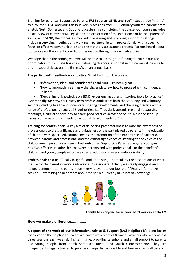**Training for parents: Supportive Parents FREE course "SEND and You"** – Supportive Parents' free course "SEND and you" ran four weekly sessions from 21st February with ten parents from Bristol, North Somerset and South Gloucestershire completing the course. Our course includes an overview of current SEND legislation, an exploration of the experience of being a parent of a child with SEND, the processes involved in assessing and providing support in settings including surviving meetings and working in partnership with professionals, with a specific focus on effective communication and the statutory assessment process. Parents heard about our course via the Parent Carer Forum as well as through our own advertising.

We hope that in the coming year we will be able to access grant funding to enable our Local Coordinators to complete training in delivering this course, so that in future we will be able to offer it separately across the three LAs on an annual basis.

**The participant's feedback was positive:** What I got from the course:

- "Information, ideas and confidence! Thank you it's been great!
- "How to approach meetings the bigger picture how to proceed with confidence. Brilliant!

 "Deepening of knowledge on SEND, experiencing other's histories, tools for practice" **Additionally we network closely with professionals** from both the statutory and voluntary sectors including health and social care, sharing developments and changing practice with a range of professionals across all 3 authorities. Staff regularly attends regional networking meetings; a crucial opportunity to share good practice across the South West and feed up issues, concerns and comments on national developments to DfE.

**Training for professionals:** A key aim of delivering presentations is to raise the awareness of professionals to the significance and uniqueness of the part played by parents in the education of children with special educational needs, the promotion of the importance of partnership between parents and professional and the critical significance of listening to the voice of the child or young person in achieving best outcomes. Supportive Parents always encourages positive, effective relationships between parents and with professionals, to the benefit of children and young people who have special educational needs and/or disability.

**Professionals told us:** "Really insightful and interesting – particularly the descriptions of what it's like for the parent in various situations". "Passionate! Activity was really engaging and helped demonstrate the points made – very relevant to our job role!" "Really informative session – interesting to hear more about the service – clearly have lots of knowledge."



**Thanks to everyone for all your hard work in 2016/17!**

**How we make a difference…………….**

**A report of the work of our Information, Advice & Support (IAS) Helpline:** It's been busier than ever on the helpline this year. We now have a team of 8 trained advisers who work across three sessions each week during term time, providing telephone and email support to parents and young people from North Somerset, Bristol and South Gloucestershire. They are independently legally trained to provide an impartial, accessible and free service to all callers.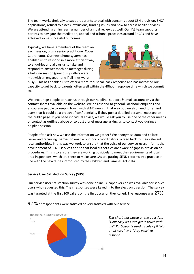The team works tirelessly to support parents to deal with concerns about SEN provision, EHCP applications, refusal to assess, exclusions, funding issues and how to access health services. We are attending an increasing number of annual reviews as well. Our IAS team supports parents to navigate the mediation, appeal and tribunal processes around EHCPs and have achieved some successful outcomes.

Typically, we have 3 members of the team on each session, plus a senior practitioner Cover Coordinator. Our new phone system has enabled us to respond in a more efficient way to enquiries and allows us to take and respond to answer machine messages during a helpline session (previously callers were met with an engaged tone if all lines were



busy). This has enabled us to offer a more robust call back response and has increased our capacity to get back to parents, often well within the 48hour response time which we commit to.

We encourage people to reach us through our helpline, support@ email account or via the contact sheets available on the website. We do respond to general Facebook enquiries and encourage people to keep in touch with SEND news in that way but we also need to remind users that it could be a breach of confidentiality if they post a detailed personal message on the public page. If you need individual advice, we would ask you to use one of the other means of contact as outlined above or to post a brief message asking us to contact you during a helpline session.

People often ask how we use the information we gather? We anonymise data and collate issues and recurring themes, to enable our local co-ordinators to feed back to their relevant local authorities. In this way we work to ensure that the voice of our service-users informs the development of SEND services and so that local authorities are aware of gaps in provision or procedures. This is to ensure they are working positively to meet the requirements of local area inspections, which are there to make sure LAs are putting SEND reforms into practice in line with the new duties introduced by the Children and Families Act 2014.

# **Service User Satisfaction Survey (SUSS)**

Our service user satisfaction survey was done online. A paper version was available for service users who requested this. Their responses were keyed in to the electronic version. The survey was targeted at the first 100 callers on the first occasion they called. The response was  $27\%$ .



 $92$  % of respondents were satisfied or very satisfied with our service.

*This chart was based on the question: "How easy was it to get in touch with us?" Participants used a scale of 0 "Not at all easy" to 4 "Very easy" to respond.*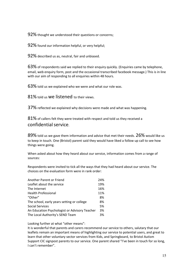92% thought we understood their questions or concerns;

92% found our information helpful, or very helpful;

92% described us as, neutral, fair and unbiased.

63% of respondents said we replied to their enquiry quickly. (Enquiries came by telephone, email, web enquiry form, post and the occasional transcribed facebook message.) This is in line with our aim of responding to all enquiries within 48 hours.

63% told us we explained who we were and what our role was.

81% told us we listened to their views.

37% reflected we explained why decisions were made and what was happening.

81% of callers felt they were treated with respect and told us they received a confidentialservice.

 $89\%$  told us we gave them information and advice that met their needs.  $26\%$  would like us to keep in touch. One (Bristol) parent said they would have liked a follow up call to see how things were going.

When asked about how they heard about our service, information comes from a range of sources:

Respondents were invited to tick all the ways that they had heard about our service. The choices on the evaluation form were in rank order:

| Another Parent or Friend                      | 24% |  |
|-----------------------------------------------|-----|--|
| Leaflet about the service                     | 19% |  |
| The Internet                                  | 16% |  |
| <b>Health Professional</b>                    | 11% |  |
| "Other"                                       | 8%  |  |
| The school, early years setting or college    | 8%  |  |
| <b>Social Services</b>                        | 5%  |  |
| An Education Psychologist or Advisory Teacher | 3%  |  |
| The Local Authority's SEND Team               | 3%  |  |

Looking further at what "other means":

It is wonderful that parents and carers recommend our service to others, salutary that our leaflets remain an important means of highlighting our service to potential users, and great to learn that other voluntary sector services from Kids, and Springboard, to Bristol Autism Support CIC signpost parents to our service. One parent shared "I've been in touch for so long, I can't remember".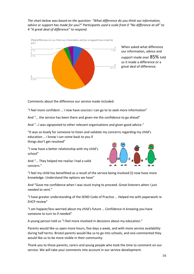*The chart below was based on the question: "What difference do you think our information, advice or support has made for you?" Participants used a scale from 0 "No difference at all" to 4 "A great deal of difference" to respond.*



When asked what difference our information, advice and

support made over 85% told us it made a difference or a great deal of difference.

Comments about the difference our service made included:

"I feel more confident … I now have sources I can go to to seek more information"

And "… the service has been there and given me the confidence to go ahead"

And "…I was signposted to other relevant organisations and given good advice."

"It was so lovely for someone to listen and validate my concerns regarding my child's education … I know I can come back to you if things don't get resolved"

"I now have a better relationship with my child's school"

And "… They helped me realise I had a valid concern."



"I feel my child has benefitted as a result of the service being involved [I] now have more knowledge. Understand the options we have"

And "Gave me confidence when I was stuck trying to proceed. Great listeners when I just needed to vent."

"I have greater understanding of the SEND Code of Practice … Helped me with paperwork re EHCP review"

"I am happier/less worried about my child's future … Confidence in knowing you have someone to turn to if needed"

A young person told us "I feel more involved in decisions about my education."

Parents would like us open more hours, five days a week, and with more service availability during half terms. Bristol parents would like us to go into schools, and one commented they would like us to be more visible in their community.

Thank you to those parents, carers and young people who took the time to comment on our service. We will take your comments into account in our service development.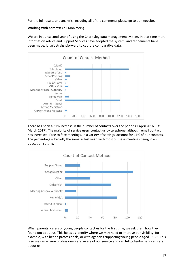For the full results and analysis, including all of the comments please go to our website.

#### **Working with parents:** Call Monitoring

We are in our second year of using the Charitylog data management system. In that time more Information Advice and Support Services have adopted the system, and refinements have been made. It isn't straightforward to capture comparative data.



There has been a 31% increase in the number of contacts over the period  $(1$  April 2016 – 31 March 2017). The majority of service users contact us by telephone, although email contact has increased. Face to face meetings, in a variety of settings, account for 11% of our contacts. The percentage is broadly the same as last year, with most of these meetings being in an education setting.



When parents, carers or young people contact us for the first time, we ask them how they found out about us. This helps us identify where we may need to improve our visibility, for example, with health professionals, or with agencies supporting young people aged 16-25. This is so we can ensure professionals are aware of our service and can tell potential service users about us.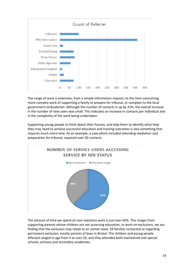

The range of work is extensive, from a simple information request, to the time-consuming, more complex work of supporting a family to prepare for tribunal, or complain to the local government ombudsman. Although the number of contacts is up by 31%, the overall increase in the number of new users was small. This indicates an increase in contacts per individual and in the complexity of the work being undertaken.

Supporting young people to think about their futures, and help them to identify what help they may need to achieve successful education and training outcomes is also something that requires much more time. As an example, a case which included attending mediation and preparation for tribunal, required over 50 contacts.



The amount of time we spend on non-statutory work is just over 60%. This ranges from supporting parents whose children are not accessing education, to work on exclusions, we are finding that the exclusion may relate to an unmet need. 18 families contacted us regarding permanent exclusion, mostly parents of boys in Bristol. The children and young people affected ranged in age from 5 to over 16, and they attended both maintained and special schools, primary and secondary academies.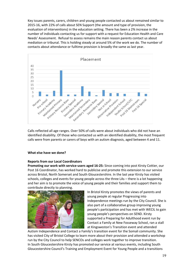Key issues parents, carers, children and young people contacted us about remained similar to 2015-16, with 22% of calls about SEN Support (the amount and type of provision, the evaluation of interventions) in the education setting. There has been a 2% increase in the number of individuals contacting us for support with a request for Education Health and Care Needs' Assessment. Refusal to assess remains the main reason parents contact us about mediation or tribunal. This is holding steady at around 5% of the work we do. The number of contacts about attendance or fulltime provision is broadly the same as last year.



Calls reflected all age ranges. Over 50% of calls were about individuals who did not have an identified disability. Of those who contacted us with an identified disability, the most frequent calls were from parents or carers of boys with an autism diagnosis, aged between 4 and 11.

#### **What else have we done?**

# **Reports from our Local Coordinators**

**Promoting our work with service-users aged 16-25:** Since coming into post Kirsty Cottier, our Post 16 Coordinator, has worked hard to publicise and promote this extension to our service across Bristol, North Somerset and South Gloucestershire. In the last year Kirsty has visited schools, colleges and events for young people across the three LAs – there is a lot happening and her aim is to promote the voice of young people and their families and support them to contribute directly to planning.



In Bristol Kirsty promotes the views of parents and young people at regular Progressing into Independence meetings run by the City Council. She is also part of a collaborative group improving young people's participation and has met with WECIL to gain young people's perspectives on SEND. Kirsty supported a Preparing for Adulthood event run by Contact a Family at New Fosseway School, ran a stall at Kingsweston's Transition event and attended

Autism Independence and Contact a Family's transition event for the Somali community. She has visited City of Bristol College to learn more about their provision and attended a workshop run by the City Council to help SENCOs and colleges work together to improve transition. In South Gloucestershire Kirsty has promoted our service at various events, including South Gloucestershire Council's Training and Employment Event for Young People and a transitions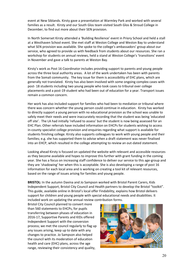event at New Siblands. Kirsty gave a presentation at Warmley Park and worked with several families as a result. Kirsty and our South Glos team visited South Glos & Stroud College in December, to find out more about their SEN provision.

In North Somerset Kirsty attended a 'Building Resilience' event in Priory School and held a stall at a Westhaven School event. She met staff at Weston College and Weston Bay to understand what SEN provision was available. She spoke to the college's ambassadors' group about our service, who agreed to provide us with feedback from students about our resources. She ran a workshop for students on annual reviews, held a stand at Weston College's 'transitions' event in November and gave a talk to parents at Weston Bay.

Kirsty's work as Post 16 Coordinator includes providing support to parents and young people across the three local authority areas. A lot of the work undertaken has been with parents from the Somali community. The key issue for them is accessibility of EHC plans, which are generally not translated. Kirsty has also been involved with some ongoing complex cases with post- 18 students including two young people who took cases to tribunal over college placements and a post-19 student who had been out of education for a year. Transport issues remain a common concern.

Her work has also included support for families who had been to mediation or tribunal where there was concern whether the young person could continue in education. Kirsty has worked to directly support a young person with no educational provision as the school was unable to safely meet their needs and were inaccurately recording that the student was being 'educated off site'. The LA had initially 'refused to assess' but the student is now being assessed for an EHC Plan. Other referrals have included information on EHCPs for students wishing to access in-county specialist college provision and enquiries regarding what support is available for students finishing college. Kirsty also supports colleagues to work with young people and their families; e.g. she has supported them to advise when a draft statement was never finalised into an EHCP, which resulted in the college attempting to review an out-dated statement.

Looking ahead Kirsty is focused on updated the website with relevant and accessible resources as they become available and hopes to improve this further with grant funding in the coming year. She has a focus on increasing staff confidence to deliver our service to this age-group and they are 'shadowing' her when this is acceptable. She is also developing a range of post 16 information for each local area and is working on creating a tool kit of relevant resources, based on the range of issues arising for families and young people.

**BRISTOL:** In the autumn Davina and Jo Sampson worked with Bristol Parent Carers, Kids Independent Support, Bristol City Council and Health partners to develop the Bristol "toolkit". This guide, available online in Bristol's local offer Findability, explains how Bristol delivers support for children and young people with special educational needs and disabilities. It included work on updating the annual review contribution forms.

Bristol City Council planned to convert more than 560 statements to EHCPs, for pupils transferring between phases of education in 2016-17, Supportive Parents and KIDs offered Independent Support with the conversion process; we met the council regularly to flag up any issues arising, keep up to date with any changes to practice. Jo Sampson also helped the council with its moderation of education health and care (EHC) plans, across the age range, reviewing their consistency and quality,

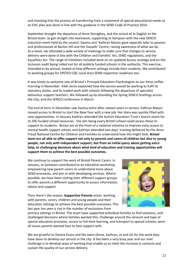and checking that the process of transferring from a statement of special educational needs to an EHC plan was done in line with the guidance in the SEND Code of Practice 2014.

September brought the departure of Anne Donaghey, and the arrival of Jo Daglish to the Bristol team. Jo got straight into teamwork, supporting Jo Sampson with the new SENCO induction event held by the council. Davina and `Kathryn Mason gave separate talks to parents and professionals at Barton Hill and the Vassalls' Centre, raising awareness of what we do. As a team, we attended a wide variety of meetings to make sure that changes to service delivery were done in line with the Children and Families' Act, SEND regulations, and the Equalities Act. The range of initiatives included work on an updated Access strategy and on the Inclusion audit being rolled out for all publicly funded schools in the authority. This exercise, intended to be annual, looked at how different settings include their students. We contributed to working groups for OfSTED CQC Local Area SEND inspection readiness too.

It was lovely to welcome one of Bristol's Principal Education Psychologists to our Xmas coffee morning in November. Vikki Jervis explained how the service would be working to fulfil its statutory duties, and its traded work with schools following the departure of specialist behaviour support teachers. We followed up by attending the Spring SENCO briefings across the City, and the SENCO conference in March.

The end of term in December saw Davina retire after sixteen years in service. Kathryn Mason moved across to Bristol to start the New Year with a new job. Her diary was quickly filled with new opportunities. In January Kathryn attended the Autism Education Trust's launch event for its DfE-funded school resources - the aim being every Bristol school could access these to support its students. Bristol are at the front of a national initiative to improve early access to mental health support school, and Kathryn attended two days' training delivered by the Anna Freud National Centre for Children and Families to understand how this might look. **Bristol team are all able to offer support not only to parents and carers of children but also to young people, not only with independent support, but from an initial query about getting extra help, to challenging decisions about what kind of education and training opportunities will support them to achieve the best possible outcomes.**

We continue to support the work of Bristol Parent Carers. In January, Jo Sampson contributed to an education workshop, empowering new parent carers to understand more about SEND processes, and join in with developing services. Where possible, we have been visiting their different support groups to offer parents a different opportunity to access information, advice and support.

Then there's the reason, **Supportive Parents** exists: working with parents, carers, children and young people and their education settings to achieve the best possible outcomes. This last year has seen a rise in the number of exclusions from



primary settings in Bristol. The team have supported individual families to find solutions, and challenged decisions where families wanted this. Challenge around the amount and type of special education provision, access to full-time learning, and transport to special schools, were all issues parents wanted face to face support with.

We are grateful to Davina Evans and the team (Anne, Kathryn, Jo and Jo) for the work they have done to develop our service in the city. It has been a very busy year and our next challenge is to develop ways of working that enable us to meet the increase in contacts and sustain the quality of our service delivery.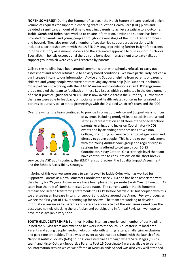**NORTH SOMERSET:** During the Summer of last year the North Somerset team received a high volume of requests for support in checking draft Education Health Care (EHC) plans and devoted a significant amount of time to enabling parents to achieve a satisfactory outcome. **Jackie, Sarah and Helen** have worked to ensure information, advice and support has been provided to parents and young people throughout every stage of the EHCP transfer process and beyond. They also provided a number of speaker-led support group sessions which included a partnership event with the LA SEND Manager providing further insight for parents into the statutory assessment process and the graduated approach to SEN support in schools. Specialists in holistic occupational therapy and behaviour management also gave talks at support group which were very well received by parents.

Calls to the helpline have been around communication with schools, refusals to carry out assessment and school refusal due to anxiety based conditions. We have particularly noticed a big increase in calls to our Information, Advice and Support helpline from parents or carers of children and young people who were not receiving any extra help (SEN support) in schools. Close partnership working with the SEND Manager and contributions at an EHCP engagement group enabled the team to feedback on these key issues which culminated in the development of a 'best practice' guide for SENCOs. This is now available across the Authority. Furthermore, the team were able to feedback, on social care and health related concerns being raised by parents to our service, at strategic meetings with the Disabled Children's team and the CCG.

Over the winter the team continued to provide Information, Advice and Support via a number



of avenues including termly visits to specialist pre-school settings, representation at all three of the Special School parents' evenings and Inclusion Coordinator (INCO) events and by attending three sessions at Weston College, promoting our service offer to college teams and directly to young people. This has led to our involvement with the Young Ambassadors group and regular drop in sessions being offered to college by our 16-25 Coordinator, Kirsty Cottier. On a strategic level the team have contributed to consultations on the short breaks

service, the ASD adult strategy, the SEND transport review, the Equality Impact Assessment and the Schools Accessibility Strategy.

In Spring of this year we were sorry to say farewell to Jackie Oxley who has worked for Supportive Parents as North Somerset Coordinator since 2004 and has been associated with the charity for 25 years. However we have been pleased to promote **Sarah Trevitt** from our IAS team into the role of North Somerset Coordinator. The current work in North Somerset remains focused on transferring statements to EHCPs before March 2018 but coupled with this we are seeing an increase in calls for support and advice around the Annual Review process as we see the first year of EHCPs coming up for review. The team are working to develop information resources for parents and carers to address two of the key issues raised over the past year, namely checking the draft plan and participating in Annual Reviews - we hope to have these available very soon.

**SOUTH GLOUCESTERSHIRE: Summer:** Nadine Etter, an experienced member of our Helpline, joined the S. Glos team and extended her work into the South Gloucestershire local area. Parents and young people needed help our help with writing letters, challenging exclusions and part-time timetables. There was an event at Abbeywood School, with the launch of the National Autistic Society (NAS) South Gloucestershire Campaign where Sara Maggs (S.Glos team) and Kirsty Cottier (Supportive Parents Post 16 Coordinator) were available to parents. An information session which we offered at New Siblands School was also very well attended.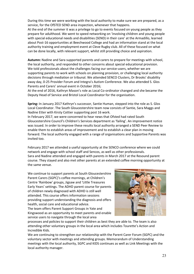During this time we were working with the local authority to make sure we are prepared, as a service, for the OfSTED SEND area inspection, whenever that happens.

At the end of the summer it was a privilege to go to events focused on young people as they prepare for adulthood. We went to speed networking on 'involving children and young people with special educational needs and disabilities (SEND) in their care' at the Armadillo, learned about Post-16 opportunities at Beechwood College and had an information stand at the local authority training and employment event at Cleve Rugby club. All of these focused on what can be done locally, with relevant support, whilst still providing choice and aspiration.

**Autumn:** Nadine and Sara supported parents and carers to prepare for meetings with school, the local authority, and responded to other concerns about special educational provision. We told professionals about the challenges facing our service-users, whether we are supporting parents to work with schools on planning provision, or challenging local authority decisions through mediation or tribunal. We attended SENCO Clusters, Dr Brooks' disability away day, 0-25 Provider Forum and Integra's Autism Conference. We also attended S. Glos Parents and Carers' annual event in October 2016;

At the end of 2016, Kathryn Mason's role as Local Co-ordinator changed and she became the Deputy Head of Service and Bristol Local Coordinator for the organisation.

**Spring:** In January 2017 Kathryn's successor, Santie Human, stepped into the role as S. Glos Local Coordinator. The South Gloucestershire team now consists of Santie, Sara Maggs and Nadine Etter with Kirsty Cottier supporting post 16 work.

In February 2017, we were concerned to hear news that Ofsted had rated South Gloucestershire Council's Children's Services department as 'failing'. An improvement notice was issued. In order to improve these results local authority arranged a SEND Peer Review to enable them to establish areas of improvement and to establish a clear plan in moving forward. The local authority engaged with a range of organisations and Supportive Parents was invited too.

February 2017 we attended a useful opportunity at the SENCO conference where we could network and engage with school staff and Sencos, as well as other professionals. Sara and Nadine attended and engaged with parents in March 2017 at the Resound parent course. They stayed and also met other parents at an extended coffee morning opportunity at the same venue.

We continue to support parents at South Gloucestershire Parent Carers (SGPC)'s coffee mornings, at Children's Centre 'Rainbow' groups, Jigsaw and 'Little Treasures Early Years' settings. The ADHD parent course for parents of children newly diagnosed with ADHD is still well attended. This course offers information sessions providing support understanding the diagnosis and offers health, social care and educational advice. The team offers Parent Support Groups in Yate and Kingswood as an opportunity to meet parents and enable

service users to navigate through the local area



processes and policies to support their children as best they are able to. The team is also attending other voluntary groups in the local area which includes Tourette's Action and Incredible Kids.

We are continuing to strengthen our relationship with the Parent Carer Forum (SGPC) and the voluntary sector with meetings and attending groups. Memorandum of Understanding meetings with the local authority, SGPC and KIDS continues as well as Link Meetings with the local authority manager.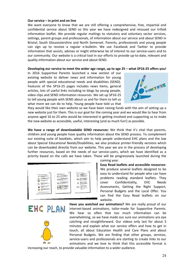#### **Our service – in print and on line**

We want everyone to know that we are still offering a comprehensive, free, impartial and confidential service about SEND so this year we have redesigned and reissued our trifold information leaflet. We provide regular mailings to statutory and voluntary sector services, settings, parent groups and professionals, of information about our service and about SEND in Bristol, South Gloucestershire and North Somerset. Parents, professionals and young people can sign up to receive a regular e-bulletin. We use Facebook and Twitter to provide information that assists, advises or might otherwise be of interest to our service-users and to our community. Our website is a critical tool in our efforts to provide up-to-date, relevant and quality information about our service and about SEND.

#### **Developing our service to meet the wider age range, up to age 25 – what SP16-25 offers you!**

In 2016 Supportive Parents launched a new section of our existing website to deliver news and information for young people with special educational needs and disabilities (SEND). Features of the SP16-25 pages includes news items, general articles, lots of useful links including to blogs by young people, video clips and SEND information resources. We set up SP16-25 to tell young people with SEND about us and for them to tell us what more we can do to help. Young people have told us that



they would like their own website so we have been raising funds with the aim of setting up a new website just for them. This is our goal for the coming year and we would like to hear from anyone aged 16 to 25 who would be interested in getting involved and supporting us to make the new website as accessible, useful, interesting (and as much fun!) as possible.

**We have a range of downloadable SEND resources:** We think that it's vital that parents, children and young people have quality information about the SEND process. To complement our existing suite of booklets, which aim to help people understand EHC plans and the law about Special Educational Needs/Disabilities, we also produce printer-friendly versions which can be downloaded directly from our website. This year we are in the process of developing further resources, based on the needs of our service-users, which we have identified as a priority based on the calls we have taken. These will be progressively launched during the



EHC PLAN

coming year.

**Easy Read leaflets and accessible resources**: We produce several leaflets designed to be easy to understand for people who can have problems reading standard leaflets. They cover Confidentiality, EHC Needs Assessments, Getting the Right Support, Personal Budgets and the Local Offer. You can find the Easy Read leaflets on our website.

**Have you watched our animations?** We are really proud of our internet-based animations, tailor-made for Supportive Parents. We hear so often that too much information can be overwhelming, so we have made our sure our animations are eye catching and straightforward. Our videos only last for about 3 minutes and explain what our service offers and how to get in touch, all about Education Health and Care Plans and about Personal Budgets. We are finding that other groups, services, service-users and professionals are starting to create links to our animations and we love to think that this accessible format is

increasing our reach, to provide valuable information to a wider audience.